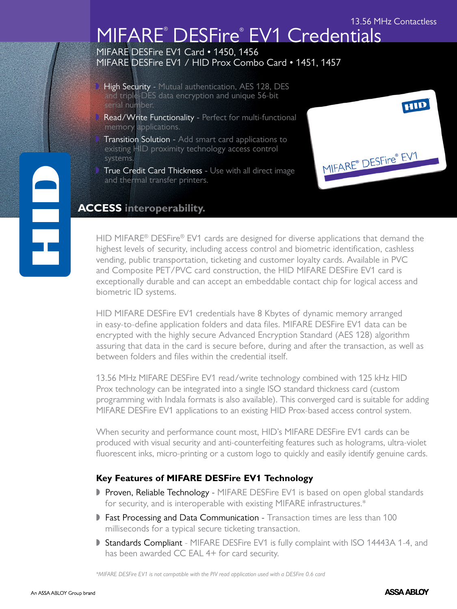### 13.56 MHz Contactless

MIFARE® DESFire® EV1

HID

# MIFARE® DESFire® EV1 Credentials

MIFARE DESFire EV1 Card . 1450, 1456 MIFARE DESFire EV1 / HID Prox Combo Card • 1451, 1457

- High Security Mutual authentication, AES 128, DES and triple-DES data encryption and unique 56-bit serial number.
- Read/Write Functionality Perfect for multi-functional memory applications.
- Transition Solution Add smart card applications to existing HID proximity technology access control systems.
- True Credit Card Thickness Use with all direct image and thermal transfer printers.

### **ACCESS interoperability.**

HID MIFARE® DESFire® EV1 cards are designed for diverse applications that demand the highest levels of security, including access control and biometric identification, cashless vending, public transportation, ticketing and customer loyalty cards. Available in PVC and Composite PET/PVC card construction, the HID MIFARE DESFire EV1 card is exceptionally durable and can accept an embeddable contact chip for logical access and biometric ID systems.

HID MIFARE DESFire EV1 credentials have 8 Kbytes of dynamic memory arranged in easy-to-define application folders and data files. MIFARE DESFire EV1 data can be encrypted with the highly secure Advanced Encryption Standard (AES 128) algorithm assuring that data in the card is secure before, during and after the transaction, as well as between folders and files within the credential itself.

13.56 MHz MIFARE DESFire EV1 read/write technology combined with 125 kHz HID Prox technology can be integrated into a single ISO standard thickness card (custom programming with Indala formats is also available). This converged card is suitable for adding MIFARE DESFire EV1 applications to an existing HID Prox-based access control system.

When security and performance count most, HID's MIFARE DESFire EV1 cards can be produced with visual security and anti-counterfeiting features such as holograms, ultra-violet fluorescent inks, micro-printing or a custom logo to quickly and easily identify genuine cards.

### **Key Features of MIFARE DESFire EV1 Technology**

- Proven, Reliable Technology MIFARE DESFire EV1 is based on open global standards for security, and is interoperable with existing MIFARE infrastructures.\*
- **Fast Processing and Data Communication Transaction times are less than 100** milliseconds for a typical secure ticketing transaction.
- Standards Compliant MIFARE DESFire EV1 is fully complaint with ISO 14443A 1-4, and has been awarded CC EAL 4+ for card security.

*\*MIFARE DESFire EV1 is not compatible with the PIV read application used with a DESFire 0.6 card*